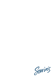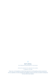

Sarin's Restaurant proudly supports our local produce

(df) dairy free, (gf) gluten free, (gfa) gluten free available, (v) vegetarian, (ve) vegan

Please note, not all ingredients are listed. Please speak with our staff regarding any dietary requirements. All of our (gf) dishes are made using gluten free ingredients, however some items are cooked in the deep fryer and may contain traces of gluten.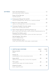| <b>ENTRÉES</b> | pizza bread, garlic butter, rosemary                                                                                     |
|----------------|--------------------------------------------------------------------------------------------------------------------------|
|                | see daily specials                                                                                                       |
|                | chorizo, Portuguese broth, spring onion, toasted sourdough                                                               |
|                | capsicum and mango salsa, coconut lime dressing                                                                          |
|                | passion fruit, avocado purée, fennel                                                                                     |
|                | Garlic Pesto Spencer Gulf King Prawns (gf)  29<br>garlic cream sauce, basil pesto, cherry tomatoes, steamed jasmine rice |
|                | caramelised granny smith apple, coconut and cider cream sauce                                                            |
|                | quinoa, zhoug dressing                                                                                                   |
|                | rocket, semi dried tomato, Italian glaze, toasted seeds                                                                  |

| <b>COFFIN BAY OYSTERS</b>                          | HALF IDOZ |  |
|----------------------------------------------------|-----------|--|
| lemon                                              |           |  |
| smoked paprika, lemon and parmesan butter          |           |  |
| capsicum and mango salsa, coconut lime vinaigrette |           |  |
| tamarind, palm sugar and coriander dressing        |           |  |
| bacon, kilpatrick sauce                            |           |  |
|                                                    |           |  |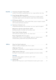| <b>MAINS</b> | turmeric curry sauce, steamed jasmine rice, crispy shallots, bok choy                                                                                                           |  |
|--------------|---------------------------------------------------------------------------------------------------------------------------------------------------------------------------------|--|
|              | King George Whiting $(gfa)(df)$ 44<br>(crumbed, battered or grilled) served with house cut kipfler potato,<br>remoulade, apple, walnut and radicchio salad, lemon herb dressing |  |
|              | Spencer Gulf King prawns, ocean jacket fillets, squid, vongole, mussels,<br>chilli tomato basil sauce, pecorino                                                                 |  |
|              | compressed watermelon and coriander cous cous, squid ink yoghurt                                                                                                                |  |
|              | Massaman Spiced Lamb Shank (gf)(df) 34<br>Bombay potatoes, coriander and cucumber salad                                                                                         |  |
|              | Sous Vide Chicken Breast 32<br>wild mushroom duxelle, gnocchi, soy cream sauce                                                                                                  |  |
|              | sweet potato, zucchini, savoy cabbage, capsicum, romesco sauce,<br>toasted seeds, grilled witlof and pickled fennel salad                                                       |  |
|              |                                                                                                                                                                                 |  |

| <b>GRILL</b> | hokkien noodles, pineapple salsa, char siu glaze                                    |
|--------------|-------------------------------------------------------------------------------------|
|              | black garlic mashed potato, sautéed vegetable and tomato medley                     |
|              | black garlic mashed potato, sautéed vegetable and tomato medley                     |
|              | <b>SAUCES</b><br>gravy (df), diane, pepper, mushroom, garlic cream 2.5              |
|              | Seafood (gf)<br>Spencer Gulf King prawn, squid, Kinkawooka mussels, garlic cream 14 |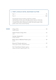## **PORT LINCOLN HOTEL SEAFOOD PLATTER**

King George whiting (crumbed or battered or grilled), steamed blue swimmer crab, Coffin Bay oysters (natural or kilpatrick), salt and pepper squid, Spencer Gulf King prawns, blue fin tuna tataki, crumbed ocean jacket, Kinkawooka mussels, half shell scallops, chips, garden salad, honey mustard dressing

| <b>SIDES</b> | tomato sauce                          |
|--------------|---------------------------------------|
|              | aioli                                 |
|              | honey mustard                         |
|              | butter                                |
|              | lemon garlic butter, roasted almonds  |
|              | sweet soy sauce, typhoon garlic, nori |